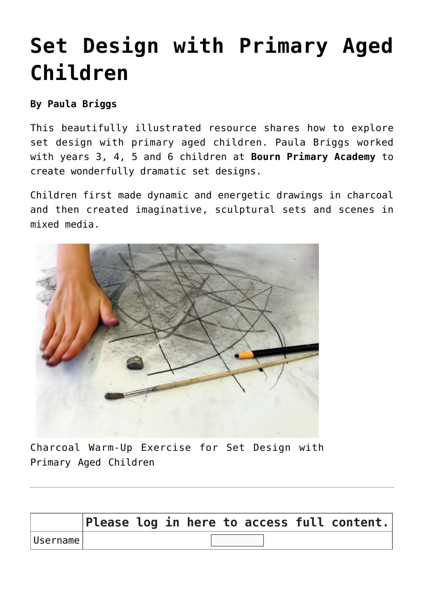# **[Set Design with Primary Aged](https://www.accessart.org.uk/set-design-with-primary-aged-children/) [Children](https://www.accessart.org.uk/set-design-with-primary-aged-children/)**

#### **By Paula Briggs**

This beautifully illustrated resource shares how to explore set design with primary aged children. Paula Briggs worked with years 3, 4, 5 and 6 children at **[Bourn Primary Academy](http://www.bournschool.co.uk)** to create wonderfully dramatic set designs.

Children first made dynamic and energetic drawings in charcoal and then created imaginative, sculptural sets and scenes in mixed media.



Charcoal Warm-Up Exercise for Set Design with Primary Aged Children

|          |  |  |  | $ $ Please log in here to access full content. |
|----------|--|--|--|------------------------------------------------|
| Username |  |  |  |                                                |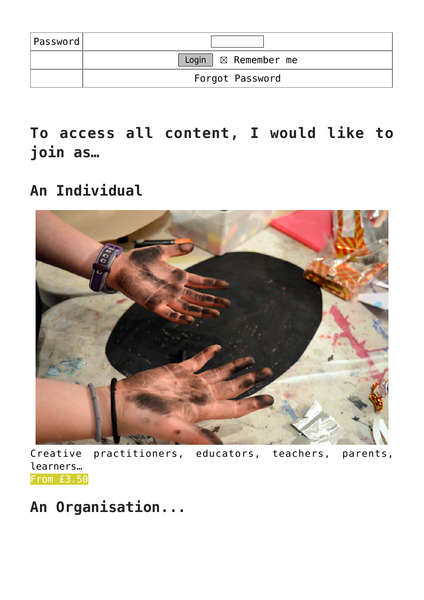| Password |                                     |
|----------|-------------------------------------|
|          | Login $\vert \boxtimes$ Remember me |
|          | Forgot Password                     |

**To access all content, I would like to join as…**

#### **An Individual**



Creative practitioners, educators, teachers, parents, learners… [From £3.50](https://www.accessart.org.uk/individual-membership/)

### **An Organisation...**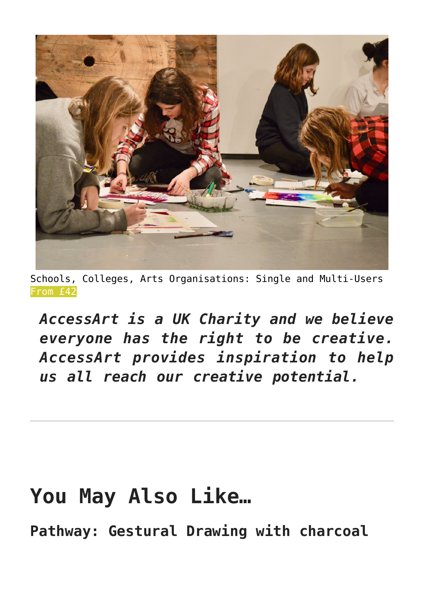

Schools, Colleges, Arts Organisations: Single and Multi-Users [From £42](https://www.accessart.org.uk/organisation-membership/)

*AccessArt is a UK Charity and we believe everyone has the right to be creative. AccessArt provides inspiration to help us all reach our creative potential.*

## **You May Also Like…**

**Pathway: Gestural Drawing with charcoal**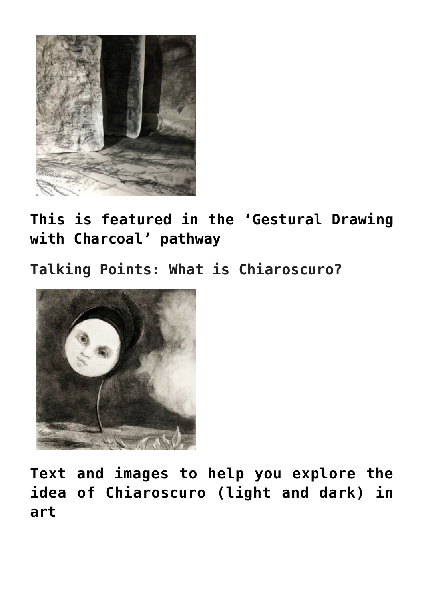

**[This is featured in the 'Gestural Drawing](https://www.accessart.org.uk/gestural-drawing-with-charcoal/) [with Charcoal' pathway](https://www.accessart.org.uk/gestural-drawing-with-charcoal/)**

**Talking Points: What is Chiaroscuro?**



**[Text and images to help you explore the](https://www.accessart.org.uk/talking-points-what-is-chiaroscuro/) [idea of Chiaroscuro \(light and dark\) in](https://www.accessart.org.uk/talking-points-what-is-chiaroscuro/) [art](https://www.accessart.org.uk/talking-points-what-is-chiaroscuro/)**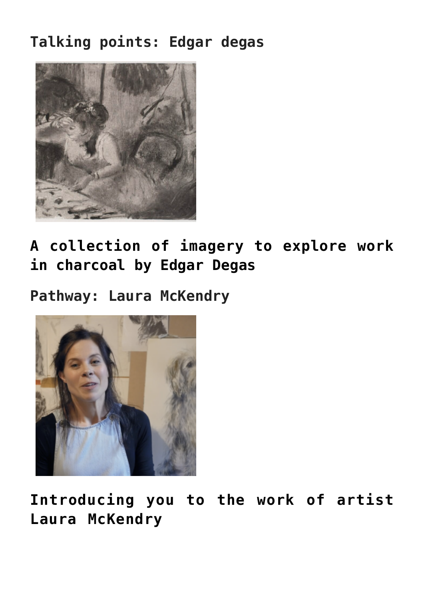#### **Talking points: Edgar degas**



**[A collection of imagery to explore work](https://www.accessart.org.uk/talking-points-charcoal-drawings-by-degas/) [in charcoal by Edgar Degas](https://www.accessart.org.uk/talking-points-charcoal-drawings-by-degas/)**

**Pathway: Laura McKendry**



**Introducing you to the work of artist Laura McKendry**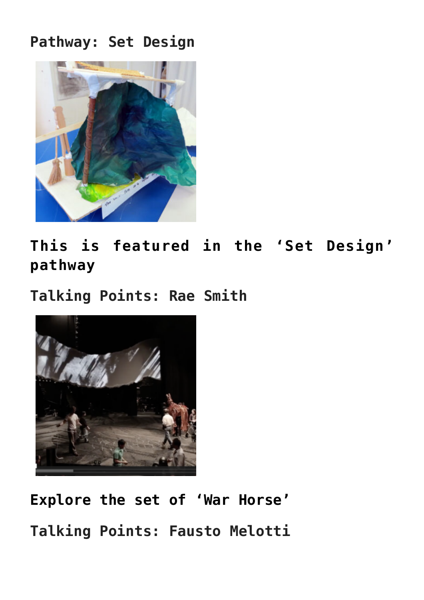#### **Pathway: Set Design**



**[This is featured in the 'Set Design'](https://www.accessart.org.uk/set-design/) [pathway](https://www.accessart.org.uk/set-design/)**

**Talking Points: Rae Smith**



**[Explore the set of 'War Horse'](https://www.accessart.org.uk/talking-points-rae-smith/) Talking Points: Fausto Melotti**